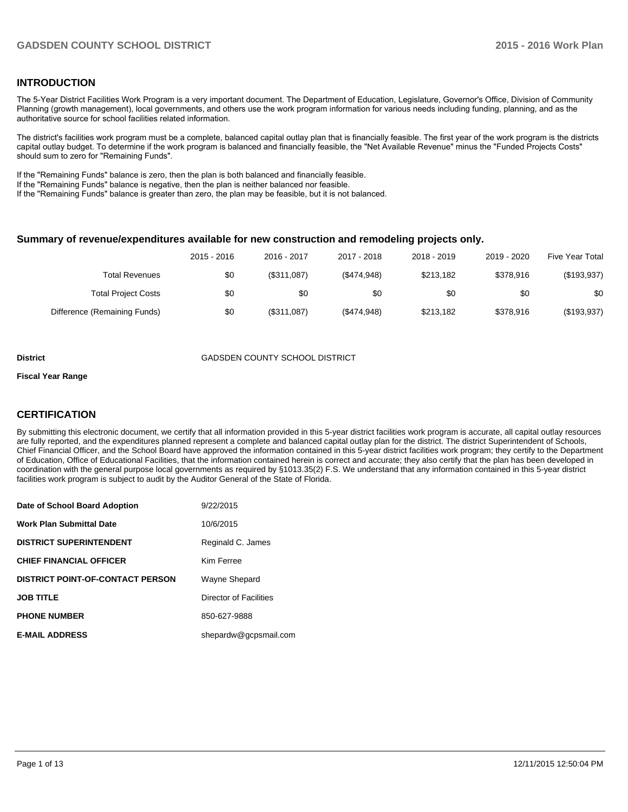# **INTRODUCTION**

The 5-Year District Facilities Work Program is a very important document. The Department of Education, Legislature, Governor's Office, Division of Community Planning (growth management), local governments, and others use the work program information for various needs including funding, planning, and as the authoritative source for school facilities related information.

The district's facilities work program must be a complete, balanced capital outlay plan that is financially feasible. The first year of the work program is the districts capital outlay budget. To determine if the work program is balanced and financially feasible, the "Net Available Revenue" minus the "Funded Projects Costs" should sum to zero for "Remaining Funds".

If the "Remaining Funds" balance is zero, then the plan is both balanced and financially feasible.

If the "Remaining Funds" balance is negative, then the plan is neither balanced nor feasible.

If the "Remaining Funds" balance is greater than zero, the plan may be feasible, but it is not balanced.

#### **Summary of revenue/expenditures available for new construction and remodeling projects only.**

|                              | 2015 - 2016 | 2016 - 2017 | 2017 - 2018 | 2018 - 2019 | 2019 - 2020 | <b>Five Year Total</b> |
|------------------------------|-------------|-------------|-------------|-------------|-------------|------------------------|
| Total Revenues               | \$0         | (\$311,087) | (\$474,948) | \$213,182   | \$378.916   | (\$193,937)            |
| <b>Total Project Costs</b>   | \$0         | \$0         | \$0         | \$0         | \$0         | \$0                    |
| Difference (Remaining Funds) | \$0         | (\$311,087) | (\$474,948) | \$213,182   | \$378,916   | (\$193,937)            |

#### **District** GADSDEN COUNTY SCHOOL DISTRICT

#### **Fiscal Year Range**

# **CERTIFICATION**

By submitting this electronic document, we certify that all information provided in this 5-year district facilities work program is accurate, all capital outlay resources are fully reported, and the expenditures planned represent a complete and balanced capital outlay plan for the district. The district Superintendent of Schools, Chief Financial Officer, and the School Board have approved the information contained in this 5-year district facilities work program; they certify to the Department of Education, Office of Educational Facilities, that the information contained herein is correct and accurate; they also certify that the plan has been developed in coordination with the general purpose local governments as required by §1013.35(2) F.S. We understand that any information contained in this 5-year district facilities work program is subject to audit by the Auditor General of the State of Florida.

| Date of School Board Adoption           | 9/22/2015              |
|-----------------------------------------|------------------------|
| <b>Work Plan Submittal Date</b>         | 10/6/2015              |
| <b>DISTRICT SUPERINTENDENT</b>          | Reginald C. James      |
| <b>CHIEF FINANCIAL OFFICER</b>          | Kim Ferree             |
| <b>DISTRICT POINT-OF-CONTACT PERSON</b> | Wayne Shepard          |
| <b>JOB TITLE</b>                        | Director of Facilities |
| <b>PHONE NUMBER</b>                     | 850-627-9888           |
| <b>E-MAIL ADDRESS</b>                   | shepardw@gcpsmail.com  |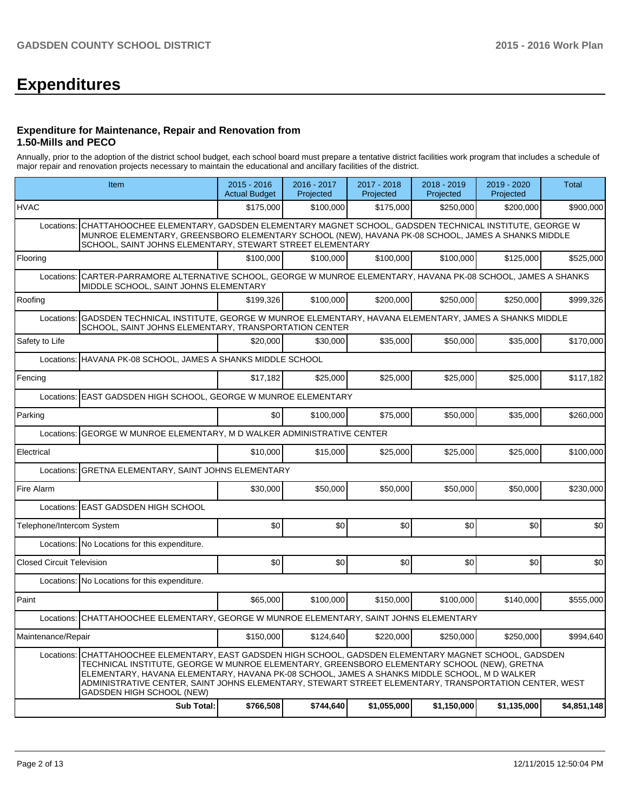# **Expenditures**

#### **Expenditure for Maintenance, Repair and Renovation from 1.50-Mills and PECO**

Annually, prior to the adoption of the district school budget, each school board must prepare a tentative district facilities work program that includes a schedule of major repair and renovation projects necessary to maintain the educational and ancillary facilities of the district.

|                                  | Item                                                                                                                                                                                                                                                                                                                                                                                                                               | 2015 - 2016<br><b>Actual Budget</b> | 2016 - 2017<br>Projected | 2017 - 2018<br>Projected | 2018 - 2019<br>Projected | 2019 - 2020<br>Projected | <b>Total</b> |  |  |  |  |
|----------------------------------|------------------------------------------------------------------------------------------------------------------------------------------------------------------------------------------------------------------------------------------------------------------------------------------------------------------------------------------------------------------------------------------------------------------------------------|-------------------------------------|--------------------------|--------------------------|--------------------------|--------------------------|--------------|--|--|--|--|
| <b>HVAC</b>                      |                                                                                                                                                                                                                                                                                                                                                                                                                                    | \$175,000                           | \$100,000                | \$175,000                | \$250,000                | \$200,000                | \$900,000    |  |  |  |  |
| Locations:                       | CHATTAHOOCHEE ELEMENTARY, GADSDEN ELEMENTARY MAGNET SCHOOL, GADSDEN TECHNICAL INSTITUTE, GEORGE W<br>MUNROE ELEMENTARY, GREENSBORO ELEMENTARY SCHOOL (NEW), HAVANA PK-08 SCHOOL, JAMES A SHANKS MIDDLE<br>SCHOOL, SAINT JOHNS ELEMENTARY, STEWART STREET ELEMENTARY                                                                                                                                                                |                                     |                          |                          |                          |                          |              |  |  |  |  |
| Flooring                         |                                                                                                                                                                                                                                                                                                                                                                                                                                    | \$100,000                           | \$100,000                | \$100,000                | \$100,000                | \$125,000                | \$525,000    |  |  |  |  |
| Locations:                       | CARTER-PARRAMORE ALTERNATIVE SCHOOL, GEORGE W MUNROE ELEMENTARY, HAVANA PK-08 SCHOOL, JAMES A SHANKS<br>MIDDLE SCHOOL, SAINT JOHNS ELEMENTARY                                                                                                                                                                                                                                                                                      |                                     |                          |                          |                          |                          |              |  |  |  |  |
| Roofing                          |                                                                                                                                                                                                                                                                                                                                                                                                                                    | \$199,326                           | \$100.000                | \$200,000                | \$250,000                | \$250,000                | \$999,326    |  |  |  |  |
| Locations:                       | GADSDEN TECHNICAL INSTITUTE, GEORGE W MUNROE ELEMENTARY, HAVANA ELEMENTARY, JAMES A SHANKS MIDDLE<br>SCHOOL, SAINT JOHNS ELEMENTARY, TRANSPORTATION CENTER                                                                                                                                                                                                                                                                         |                                     |                          |                          |                          |                          |              |  |  |  |  |
| Safety to Life                   |                                                                                                                                                                                                                                                                                                                                                                                                                                    | \$20,000                            | \$30.000                 | \$35,000                 | \$50,000                 | \$35,000                 | \$170,000    |  |  |  |  |
|                                  | Locations: HAVANA PK-08 SCHOOL, JAMES A SHANKS MIDDLE SCHOOL                                                                                                                                                                                                                                                                                                                                                                       |                                     |                          |                          |                          |                          |              |  |  |  |  |
| Fencing                          |                                                                                                                                                                                                                                                                                                                                                                                                                                    | \$17,182                            | \$25,000                 | \$25,000                 | \$25,000                 | \$25,000                 | \$117,182    |  |  |  |  |
|                                  | Locations: EAST GADSDEN HIGH SCHOOL, GEORGE W MUNROE ELEMENTARY                                                                                                                                                                                                                                                                                                                                                                    |                                     |                          |                          |                          |                          |              |  |  |  |  |
| Parking                          |                                                                                                                                                                                                                                                                                                                                                                                                                                    | \$0                                 | \$100,000                | \$75,000                 | \$50,000                 | \$35,000                 | \$260,000    |  |  |  |  |
|                                  | Locations: GEORGE W MUNROE ELEMENTARY, M D WALKER ADMINISTRATIVE CENTER                                                                                                                                                                                                                                                                                                                                                            |                                     |                          |                          |                          |                          |              |  |  |  |  |
| Electrical                       |                                                                                                                                                                                                                                                                                                                                                                                                                                    | \$10,000                            | \$15,000                 | \$25,000                 | \$25,000                 | \$25,000                 | \$100,000    |  |  |  |  |
|                                  | Locations: GRETNA ELEMENTARY, SAINT JOHNS ELEMENTARY                                                                                                                                                                                                                                                                                                                                                                               |                                     |                          |                          |                          |                          |              |  |  |  |  |
| Fire Alarm                       |                                                                                                                                                                                                                                                                                                                                                                                                                                    | \$30,000                            | \$50,000                 | \$50,000                 | \$50,000                 | \$50,000                 | \$230,000    |  |  |  |  |
|                                  | Locations: EAST GADSDEN HIGH SCHOOL                                                                                                                                                                                                                                                                                                                                                                                                |                                     |                          |                          |                          |                          |              |  |  |  |  |
| Telephone/Intercom System        |                                                                                                                                                                                                                                                                                                                                                                                                                                    | \$0                                 | \$0                      | \$0                      | \$0                      | \$0                      | \$0          |  |  |  |  |
|                                  | Locations: No Locations for this expenditure.                                                                                                                                                                                                                                                                                                                                                                                      |                                     |                          |                          |                          |                          |              |  |  |  |  |
| <b>Closed Circuit Television</b> |                                                                                                                                                                                                                                                                                                                                                                                                                                    | \$0                                 | \$0                      | \$0                      | \$0                      | \$0                      | \$0          |  |  |  |  |
|                                  | Locations: No Locations for this expenditure.                                                                                                                                                                                                                                                                                                                                                                                      |                                     |                          |                          |                          |                          |              |  |  |  |  |
| l Paint                          |                                                                                                                                                                                                                                                                                                                                                                                                                                    | \$65,000                            | \$100,000                | \$150,000                | \$100,000                | \$140,000                | \$555,000    |  |  |  |  |
|                                  | Locations: CHATTAHOOCHEE ELEMENTARY, GEORGE W MUNROE ELEMENTARY, SAINT JOHNS ELEMENTARY                                                                                                                                                                                                                                                                                                                                            |                                     |                          |                          |                          |                          |              |  |  |  |  |
| Maintenance/Repair               |                                                                                                                                                                                                                                                                                                                                                                                                                                    | \$150,000                           | \$124,640                | \$220,000                | \$250,000                | \$250,000                | \$994,640    |  |  |  |  |
| Locations:                       | CHATTAHOOCHEE ELEMENTARY. EAST GADSDEN HIGH SCHOOL. GADSDEN ELEMENTARY MAGNET SCHOOL. GADSDEN<br>TECHNICAL INSTITUTE, GEORGE W MUNROE ELEMENTARY, GREENSBORO ELEMENTARY SCHOOL (NEW), GRETNA<br>ELEMENTARY, HAVANA ELEMENTARY, HAVANA PK-08 SCHOOL, JAMES A SHANKS MIDDLE SCHOOL, M D WALKER<br>ADMINISTRATIVE CENTER, SAINT JOHNS ELEMENTARY, STEWART STREET ELEMENTARY, TRANSPORTATION CENTER, WEST<br>GADSDEN HIGH SCHOOL (NEW) |                                     |                          |                          |                          |                          |              |  |  |  |  |
|                                  | <b>Sub Total:</b>                                                                                                                                                                                                                                                                                                                                                                                                                  | \$766,508                           | \$744,640                | \$1,055,000              | \$1,150,000              | \$1,135,000              | \$4,851,148  |  |  |  |  |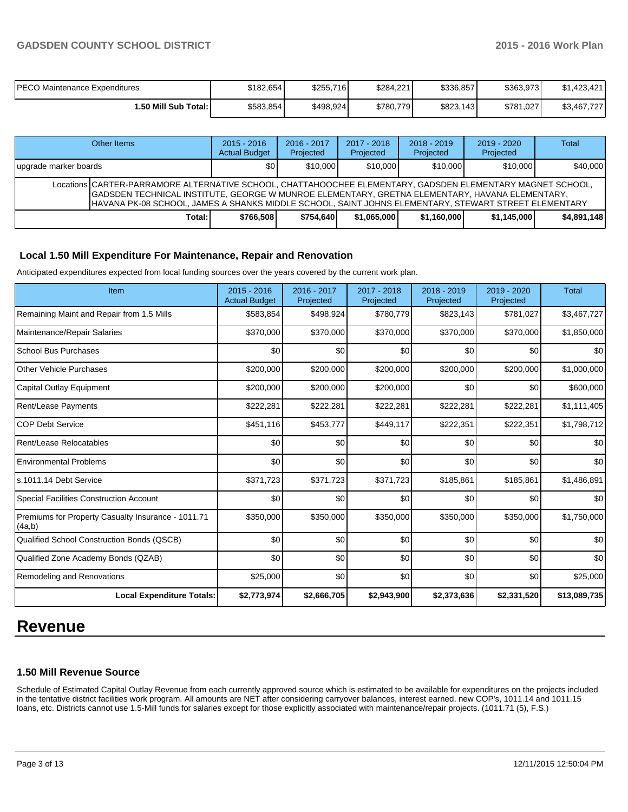| PECO Maintenance Expenditures | \$182.654 | \$255,716 | \$284,221 | \$336,857 | \$363.973 | \$1.423.421 |
|-------------------------------|-----------|-----------|-----------|-----------|-----------|-------------|
| 1.50 Mill Sub Total: I        | \$583,854 | \$498,924 | \$780,779 | \$823,143 | \$781.027 | \$3,467,727 |

|                        | Other Items                                                                                                                                                                                                                                                                                                          | $2015 - 2016$<br><b>Actual Budget</b> | $2016 - 2017$<br>Projected | $2017 - 2018$<br>Projected | $2018 - 2019$<br>Projected | $2019 - 2020$<br>Projected | Total       |  |
|------------------------|----------------------------------------------------------------------------------------------------------------------------------------------------------------------------------------------------------------------------------------------------------------------------------------------------------------------|---------------------------------------|----------------------------|----------------------------|----------------------------|----------------------------|-------------|--|
| Jupgrade marker boards |                                                                                                                                                                                                                                                                                                                      | \$0                                   | \$10,000                   | \$10,000                   | \$10,000                   | \$10,000                   | \$40,000    |  |
|                        | Locations CARTER-PARRAMORE ALTERNATIVE SCHOOL, CHATTAHOOCHEE ELEMENTARY, GADSDEN ELEMENTARY MAGNET SCHOOL,<br>GADSDEN TECHNICAL INSTITUTE, GEORGE W MUNROE ELEMENTARY, GRETNA ELEMENTARY, HAVANA ELEMENTARY,<br>HAVANA PK-08 SCHOOL, JAMES A SHANKS MIDDLE SCHOOL, SAINT JOHNS ELEMENTARY, STEWART STREET ELEMENTARY |                                       |                            |                            |                            |                            |             |  |
|                        | Total:                                                                                                                                                                                                                                                                                                               | \$766.508                             | \$754.640                  | \$1.065.000                | \$1.160.000                | \$1,145,000                | \$4,891,148 |  |

# **Local 1.50 Mill Expenditure For Maintenance, Repair and Renovation**

Anticipated expenditures expected from local funding sources over the years covered by the current work plan.

| Item                                                         | 2015 - 2016<br><b>Actual Budget</b> | 2016 - 2017<br>Projected | 2017 - 2018<br>Projected | 2018 - 2019<br>Projected | 2019 - 2020<br>Projected | <b>Total</b> |
|--------------------------------------------------------------|-------------------------------------|--------------------------|--------------------------|--------------------------|--------------------------|--------------|
| Remaining Maint and Repair from 1.5 Mills                    | \$583,854                           | \$498,924                | \$780,779                | \$823,143                | \$781,027                | \$3,467,727  |
| Maintenance/Repair Salaries                                  | \$370,000                           | \$370,000                | \$370,000                | \$370,000                | \$370,000                | \$1,850,000  |
| <b>School Bus Purchases</b>                                  | \$0                                 | \$0                      | \$0                      | \$0                      | \$0                      | \$0          |
| Other Vehicle Purchases                                      | \$200,000                           | \$200,000                | \$200,000                | \$200,000                | \$200,000                | \$1,000,000  |
| Capital Outlay Equipment                                     | \$200,000                           | \$200,000                | \$200,000                | \$0                      | \$0                      | \$600,000    |
| <b>Rent/Lease Payments</b>                                   | \$222,281                           | \$222,281                | \$222,281                | \$222,281                | \$222,281                | \$1,111,405  |
| <b>COP Debt Service</b>                                      | \$451,116                           | \$453,777                | \$449,117                | \$222,351                | \$222,351                | \$1,798,712  |
| Rent/Lease Relocatables                                      | \$0                                 | \$0                      | \$0                      | \$0                      | \$0                      | \$0          |
| <b>Environmental Problems</b>                                | \$0                                 | \$0                      | \$0                      | \$0                      | \$0                      | \$0          |
| s.1011.14 Debt Service                                       | \$371,723                           | \$371,723                | \$371,723                | \$185,861                | \$185,861                | \$1,486,891  |
| Special Facilities Construction Account                      | \$0                                 | \$0                      | \$0                      | \$0                      | \$0                      | \$0          |
| Premiums for Property Casualty Insurance - 1011.71<br>(4a,b) | \$350,000                           | \$350,000                | \$350,000                | \$350,000                | \$350,000                | \$1,750,000  |
| Qualified School Construction Bonds (QSCB)                   | \$0                                 | \$0                      | \$0                      | \$0                      | \$0                      | \$0          |
| Qualified Zone Academy Bonds (QZAB)                          | \$0                                 | \$0                      | \$0                      | \$0                      | \$0                      | \$0          |
| Remodeling and Renovations                                   | \$25,000                            | \$0                      | \$0                      | \$0                      | \$0                      | \$25,000     |
| <b>Local Expenditure Totals:</b>                             | \$2,773,974                         | \$2,666,705              | \$2,943,900              | \$2,373,636              | \$2,331,520              | \$13,089,735 |

# **Revenue**

# **1.50 Mill Revenue Source**

Schedule of Estimated Capital Outlay Revenue from each currently approved source which is estimated to be available for expenditures on the projects included in the tentative district facilities work program. All amounts are NET after considering carryover balances, interest earned, new COP's, 1011.14 and 1011.15 loans, etc. Districts cannot use 1.5-Mill funds for salaries except for those explicitly associated with maintenance/repair projects. (1011.71 (5), F.S.)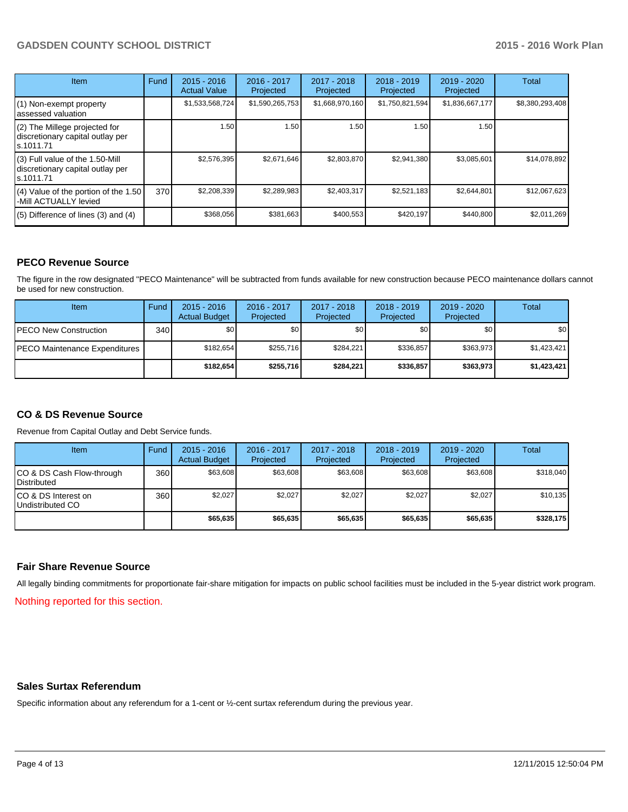# **GADSDEN COUNTY SCHOOL DISTRICT 2015 - 2016 Work Plan**

| <b>Item</b>                                                                       | Fund | $2015 - 2016$<br><b>Actual Value</b> | 2016 - 2017<br>Projected | $2017 - 2018$<br>Projected | $2018 - 2019$<br>Projected | $2019 - 2020$<br>Projected | Total           |
|-----------------------------------------------------------------------------------|------|--------------------------------------|--------------------------|----------------------------|----------------------------|----------------------------|-----------------|
| (1) Non-exempt property<br>lassessed valuation                                    |      | \$1,533,568,724                      | \$1,590,265,753          | \$1,668,970,160            | \$1,750,821,594            | \$1,836,667,177            | \$8,380,293,408 |
| (2) The Millege projected for<br>discretionary capital outlay per<br>ls.1011.71   |      | 1.50                                 | 1.50                     | 1.50                       | 1.50                       | 1.50                       |                 |
| (3) Full value of the 1.50-Mill<br>discretionary capital outlay per<br>ls.1011.71 |      | \$2,576,395                          | \$2,671,646              | \$2,803,870                | \$2,941,380                | \$3,085,601                | \$14,078,892    |
| (4) Value of the portion of the 1.50<br>-Mill ACTUALLY levied                     | 370  | \$2,208,339                          | \$2,289,983              | \$2,403,317                | \$2,521,183                | \$2,644,801                | \$12,067,623    |
| $(5)$ Difference of lines $(3)$ and $(4)$                                         |      | \$368,056                            | \$381,663                | \$400,553                  | \$420,197                  | \$440,800                  | \$2,011,269     |

# **PECO Revenue Source**

The figure in the row designated "PECO Maintenance" will be subtracted from funds available for new construction because PECO maintenance dollars cannot be used for new construction.

| Item                                  | Fund | $2015 - 2016$<br><b>Actual Budget</b> | 2016 - 2017<br>Projected | $2017 - 2018$<br>Projected | $2018 - 2019$<br>Projected | $2019 - 2020$<br>Projected | Total       |
|---------------------------------------|------|---------------------------------------|--------------------------|----------------------------|----------------------------|----------------------------|-------------|
| <b>IPECO New Construction</b>         | 340  | \$0                                   | \$0 <sub>1</sub>         | \$0                        | \$OI                       | \$0                        | \$0         |
| <b>IPECO Maintenance Expenditures</b> |      | \$182.654                             | \$255.716                | \$284.221                  | \$336.857                  | \$363.973                  | \$1,423,421 |
|                                       |      | \$182.654                             | \$255,716                | \$284.221                  | \$336,857                  | \$363,973                  | \$1,423,421 |

# **CO & DS Revenue Source**

Revenue from Capital Outlay and Debt Service funds.

| Item                                               | Fund             | $2015 - 2016$<br><b>Actual Budget</b> | 2016 - 2017<br>Projected | $2017 - 2018$<br>Projected | 2018 - 2019<br>Projected | 2019 - 2020<br>Projected | Total     |
|----------------------------------------------------|------------------|---------------------------------------|--------------------------|----------------------------|--------------------------|--------------------------|-----------|
| ICO & DS Cash Flow-through<br><b>I</b> Distributed | 360              | \$63,608                              | \$63,608                 | \$63,608                   | \$63,608                 | \$63,608                 | \$318,040 |
| ICO & DS Interest on<br>Undistributed CO           | 360 <sup>1</sup> | \$2.027                               | \$2,027                  | \$2.027                    | \$2.027                  | \$2.027                  | \$10,135  |
|                                                    |                  | \$65,635                              | \$65,635                 | \$65,635                   | \$65,635                 | \$65,635                 | \$328,175 |

#### **Fair Share Revenue Source**

All legally binding commitments for proportionate fair-share mitigation for impacts on public school facilities must be included in the 5-year district work program.

Nothing reported for this section.

### **Sales Surtax Referendum**

Specific information about any referendum for a 1-cent or ½-cent surtax referendum during the previous year.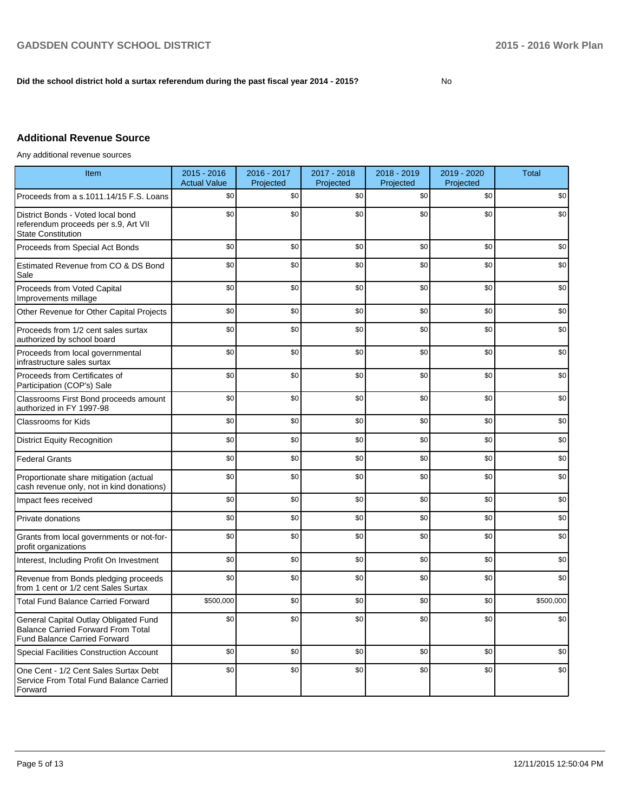## **Did the school district hold a surtax referendum during the past fiscal year 2014 - 2015?**

No

# **Additional Revenue Source**

Any additional revenue sources

| Item                                                                                                                      | 2015 - 2016<br><b>Actual Value</b> | 2016 - 2017<br>Projected | 2017 - 2018<br>Projected | 2018 - 2019<br>Projected | 2019 - 2020<br>Projected | <b>Total</b> |
|---------------------------------------------------------------------------------------------------------------------------|------------------------------------|--------------------------|--------------------------|--------------------------|--------------------------|--------------|
| Proceeds from a s.1011.14/15 F.S. Loans                                                                                   | \$0                                | \$0                      | \$0                      | \$0                      | \$0                      | \$0          |
| District Bonds - Voted local bond<br>referendum proceeds per s.9, Art VII<br><b>State Constitution</b>                    | \$0                                | \$0                      | \$0                      | \$0                      | \$0                      | \$0          |
| Proceeds from Special Act Bonds                                                                                           | \$0                                | \$0                      | \$0                      | \$0                      | \$0                      | \$0          |
| Estimated Revenue from CO & DS Bond<br>Sale                                                                               | \$0                                | \$0                      | \$0                      | \$0                      | \$0                      | \$0          |
| Proceeds from Voted Capital<br>Improvements millage                                                                       | \$0                                | \$0                      | \$0                      | \$0                      | \$0                      | \$0          |
| Other Revenue for Other Capital Projects                                                                                  | \$0                                | \$0                      | \$0                      | \$0                      | \$0                      | \$0          |
| Proceeds from 1/2 cent sales surtax<br>authorized by school board                                                         | \$0                                | \$0                      | \$0                      | \$0                      | \$0                      | \$0          |
| Proceeds from local governmental<br>infrastructure sales surtax                                                           | \$0                                | \$0                      | \$0                      | \$0                      | \$0                      | \$0          |
| Proceeds from Certificates of<br>Participation (COP's) Sale                                                               | \$0                                | \$0                      | \$0                      | \$0                      | \$0                      | \$0          |
| Classrooms First Bond proceeds amount<br>authorized in FY 1997-98                                                         | \$0                                | \$0                      | \$0                      | \$0                      | \$0                      | \$0          |
| <b>Classrooms for Kids</b>                                                                                                | \$0                                | \$0                      | \$0                      | \$0                      | \$0                      | \$0          |
| <b>District Equity Recognition</b>                                                                                        | \$0                                | \$0                      | \$0                      | \$0                      | \$0                      | \$0          |
| <b>Federal Grants</b>                                                                                                     | \$0                                | \$0                      | \$0                      | \$0                      | \$0                      | \$0          |
| Proportionate share mitigation (actual<br>cash revenue only, not in kind donations)                                       | \$0                                | \$0                      | \$0                      | \$0                      | \$0                      | \$0          |
| Impact fees received                                                                                                      | \$0                                | \$0                      | \$0                      | \$0                      | \$0                      | \$0          |
| Private donations                                                                                                         | \$0                                | \$0                      | \$0                      | \$0                      | \$0                      | \$0          |
| Grants from local governments or not-for-<br>profit organizations                                                         | \$0                                | \$0                      | \$0                      | \$0                      | \$0                      | \$0          |
| Interest, Including Profit On Investment                                                                                  | \$0                                | \$0                      | \$0                      | \$0                      | \$0                      | \$0          |
| Revenue from Bonds pledging proceeds<br>from 1 cent or 1/2 cent Sales Surtax                                              | \$0                                | \$0                      | \$0                      | \$0                      | \$0                      | \$0          |
| <b>Total Fund Balance Carried Forward</b>                                                                                 | \$500,000                          | \$0                      | \$0                      | \$0                      | \$0                      | \$500,000    |
| General Capital Outlay Obligated Fund<br><b>Balance Carried Forward From Total</b><br><b>Fund Balance Carried Forward</b> | \$0                                | \$0                      | \$0                      | \$0                      | \$0                      | \$0          |
| <b>Special Facilities Construction Account</b>                                                                            | \$0                                | \$0                      | \$0                      | \$0                      | \$0                      | \$0          |
| One Cent - 1/2 Cent Sales Surtax Debt<br>Service From Total Fund Balance Carried<br>Forward                               | \$0                                | \$0                      | \$0                      | \$0                      | \$0                      | \$0          |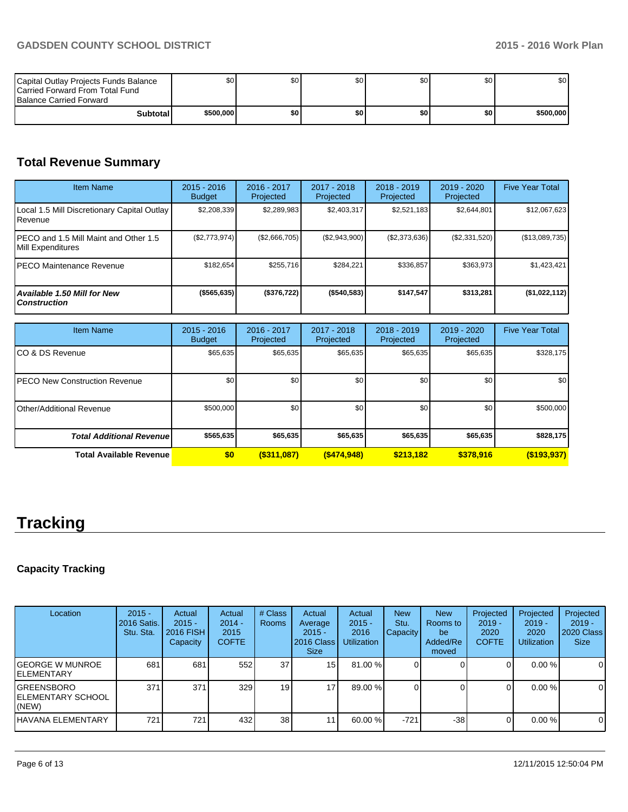| Capital Outlay Projects Funds Balance<br><b>ICarried Forward From Total Fund</b><br><b>Balance Carried Forward</b> | ا S0      | \$0 | \$0 | \$O I | \$0 | \$0       |
|--------------------------------------------------------------------------------------------------------------------|-----------|-----|-----|-------|-----|-----------|
| Subtotal                                                                                                           | \$500,000 | \$0 | \$0 | \$0   | \$0 | \$500,000 |

# **Total Revenue Summary**

| <b>Item Name</b>                                            | $2015 - 2016$<br><b>Budget</b> | 2016 - 2017<br>Projected | 2017 - 2018<br>Projected | $2018 - 2019$<br>Projected | 2019 - 2020<br>Projected | <b>Five Year Total</b> |
|-------------------------------------------------------------|--------------------------------|--------------------------|--------------------------|----------------------------|--------------------------|------------------------|
| Local 1.5 Mill Discretionary Capital Outlay<br>l Revenue    | \$2,208,339                    | \$2,289,983              | \$2,403,317              | \$2,521,183                | \$2,644,801              | \$12,067,623           |
| IPECO and 1.5 Mill Maint and Other 1.5<br>Mill Expenditures | (\$2,773,974)                  | (\$2,666,705)            | (\$2,943,900)            | (\$2,373,636)              | (\$2,331,520)            | (\$13,089,735)         |
| IPECO Maintenance Revenue                                   | \$182.654                      | \$255.716                | \$284.221                | \$336,857                  | \$363,973                | \$1,423,421            |
| <b>Available 1.50 Mill for New</b><br><b>Construction</b>   | ( \$565, 635)                  | (\$376,722)              | ( \$540, 583)            | \$147.547                  | \$313,281                | (\$1,022,112)          |

| <b>Item Name</b>                 | $2015 - 2016$<br><b>Budget</b> | 2016 - 2017<br>Projected | 2017 - 2018<br>Projected | $2018 - 2019$<br>Projected | 2019 - 2020<br>Projected | <b>Five Year Total</b> |
|----------------------------------|--------------------------------|--------------------------|--------------------------|----------------------------|--------------------------|------------------------|
| ICO & DS Revenue                 | \$65,635                       | \$65,635                 | \$65,635                 | \$65,635                   | \$65,635                 | \$328,175              |
| IPECO New Construction Revenue   | \$0 <sub>1</sub>               | \$0                      | \$0                      | \$0                        | \$0                      | \$0                    |
| Other/Additional Revenue         | \$500,000                      | \$0                      | \$0                      | \$0                        | \$0                      | \$500,000              |
| <b>Total Additional Revenuel</b> | \$565,635                      | \$65,635                 | \$65,635                 | \$65,635                   | \$65,635                 | \$828,175              |
| Total Available Revenue          | \$0                            | $($ \$311,087)           | $($ \$474,948)           | \$213,182                  | \$378,916                | $($ \$193,937)         |

# **Tracking**

# **Capacity Tracking**

| Location                                   | $2015 -$<br>2016 Satis.<br>Stu. Sta. | Actual<br>$2015 -$<br>2016 FISH<br>Capacity | Actual<br>$2014 -$<br>2015<br><b>COFTE</b> | # Class<br><b>Rooms</b> | Actual<br>Average<br>$2015 -$<br>2016 Class<br><b>Size</b> | Actual<br>$2015 -$<br>2016<br><b>Utilization</b> | <b>New</b><br>Stu.<br><b>Capacity</b> | <b>New</b><br>Rooms to<br>be<br>Added/Re<br>moved | Projected<br>$2019 -$<br>2020<br><b>COFTE</b> | Projected<br>$2019 -$<br>2020<br><b>Utilization</b> | Projected<br>$2019 -$<br>2020 Class<br><b>Size</b> |
|--------------------------------------------|--------------------------------------|---------------------------------------------|--------------------------------------------|-------------------------|------------------------------------------------------------|--------------------------------------------------|---------------------------------------|---------------------------------------------------|-----------------------------------------------|-----------------------------------------------------|----------------------------------------------------|
| IGEORGE W MUNROE<br>lelementary            | 681                                  | 681                                         | 552                                        | 37                      | 15 <sup>1</sup>                                            | 81.00 %                                          |                                       |                                                   | $\Omega$                                      | $0.00\%$                                            | 0                                                  |
| IGREENSBORO<br>IELEMENTARY SCHOOL<br>(NEW) | 371                                  | 371                                         | 329                                        | 19                      | 17 <sub>1</sub>                                            | 89.00 %                                          |                                       |                                                   |                                               | $0.00\%$                                            | $\mathbf 0$                                        |
| lHAVANA ELEMENTARY                         | 721                                  | 721                                         | 432                                        | 38 <sup>1</sup>         | 1                                                          | $60.00\%$                                        | $-721$                                | $-38$                                             |                                               | $0.00\%$                                            | $\Omega$                                           |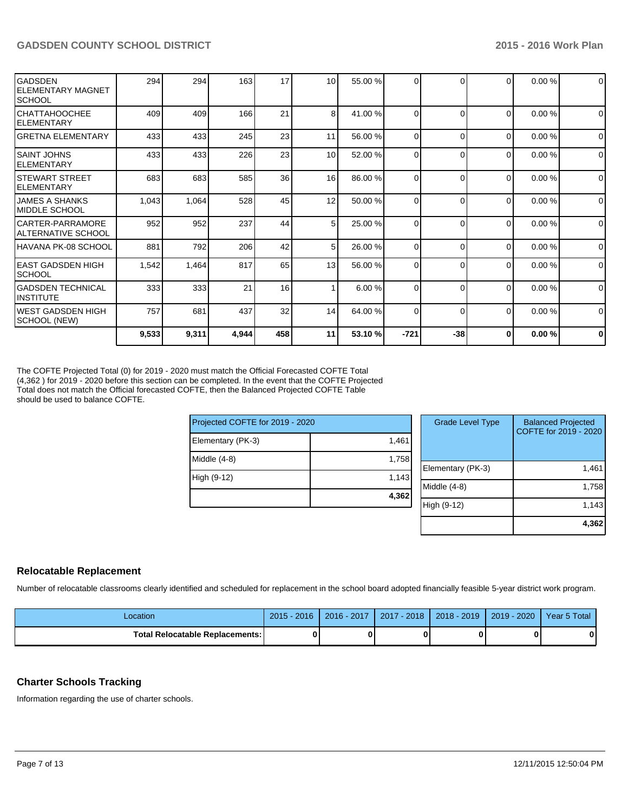| lGADSDEN<br><b>ELEMENTARY MAGNET</b><br><b>SCHOOL</b> | 294   | 294   | 163   | 17  | 10 <sup>1</sup> | 55.00 % | $\Omega$ |          | $\Omega$       | 0.00% | $\mathbf{0}$   |
|-------------------------------------------------------|-------|-------|-------|-----|-----------------|---------|----------|----------|----------------|-------|----------------|
| ІСНАТТАНООСНЕЕ<br>IELEMENTARY                         | 409   | 409   | 166   | 21  | 8 <sup>1</sup>  | 41.00 % | $\Omega$ | ſ        | $\Omega$       | 0.00% | $\overline{0}$ |
| IGRETNA ELEMENTARY                                    | 433   | 433   | 245   | 23  | 11              | 56.00 % | $\Omega$ | $\Omega$ | $\overline{0}$ | 0.00% | $\mathbf{0}$   |
| ISAINT JOHNS<br>IELEMENTARY                           | 433   | 433   | 226   | 23  | 10 <sup>1</sup> | 52.00 % | $\Omega$ | $\Omega$ | $\Omega$       | 0.00% | $\Omega$       |
| ISTEWART STREET<br><b>ELEMENTARY</b>                  | 683   | 683   | 585   | 36  | 16              | 86.00 % | $\Omega$ | C        | 0              | 0.00% | $\overline{0}$ |
| IJAMES A SHANKS<br>IMIDDLE SCHOOL                     | 1,043 | 1,064 | 528   | 45  | 12              | 50.00 % | $\Omega$ | C        | $\Omega$       | 0.00% | $\overline{0}$ |
| ICARTER-PARRAMORE<br>IALTERNATIVE SCHOOL              | 952   | 952   | 237   | 44  | 5 <sub>l</sub>  | 25.00 % | $\Omega$ | $\Omega$ | $\Omega$       | 0.00% | $\Omega$       |
| HAVANA PK-08 SCHOOL                                   | 881   | 792   | 206   | 42  | 5 <sub>l</sub>  | 26.00 % | $\Omega$ | $\Omega$ | $\Omega$       | 0.00% | $\mathbf{0}$   |
| IEAST GADSDEN HIGH<br><b>SCHOOL</b>                   | 1,542 | 1,464 | 817   | 65  | 13              | 56.00 % | $\Omega$ | C        | 0              | 0.00% | $\mathbf 0$    |
| IGADSDEN TECHNICAL<br>IINSTITUTE                      | 333   | 333   | 21    | 16  |                 | 6.00%   | $\Omega$ | C        | $\overline{0}$ | 0.00% | $\overline{0}$ |
| WEST GADSDEN HIGH<br>SCHOOL (NEW)                     | 757   | 681   | 437   | 32  | 14              | 64.00 % | $\Omega$ | $\Omega$ | $\Omega$       | 0.00% | $\Omega$       |
|                                                       | 9,533 | 9,311 | 4,944 | 458 | 11              | 53.10 % | $-721$   | $-38$    | $\bf{0}$       | 0.00% | $\mathbf 0$    |

The COFTE Projected Total (0) for 2019 - 2020 must match the Official Forecasted COFTE Total (4,362 ) for 2019 - 2020 before this section can be completed. In the event that the COFTE Projected Total does not match the Official forecasted COFTE, then the Balanced Projected COFTE Table should be used to balance COFTE.

High (9-12)

Elementary (PK-Middle  $(4-8)$ 

Projected COFT

| E for 2019 - 2020 |       | <b>Grade Level Type</b> | <b>Balanced Projected</b><br>COFTE for 2019 - 2020 |
|-------------------|-------|-------------------------|----------------------------------------------------|
| -3)               | 1,461 |                         |                                                    |
|                   | 1,758 |                         |                                                    |
|                   |       | Elementary (PK-3)       | 1,461                                              |
|                   | 1,143 |                         |                                                    |
|                   | 4,362 | Middle (4-8)            | 1,758                                              |
|                   |       | High (9-12)             | 1,143                                              |
|                   |       |                         |                                                    |
|                   |       |                         | 4.362                                              |

# **Relocatable Replacement**

Number of relocatable classrooms clearly identified and scheduled for replacement in the school board adopted financially feasible 5-year district work program.

| Location                          | $2015 - 2016$ | 2016 - 2017 | 2017 - 2018 | 2018 - 2019 | 2019 - 2020 | Year 5 Total |
|-----------------------------------|---------------|-------------|-------------|-------------|-------------|--------------|
| Total Relocatable Replacements: I |               |             |             |             |             |              |

# **Charter Schools Tracking**

Information regarding the use of charter schools.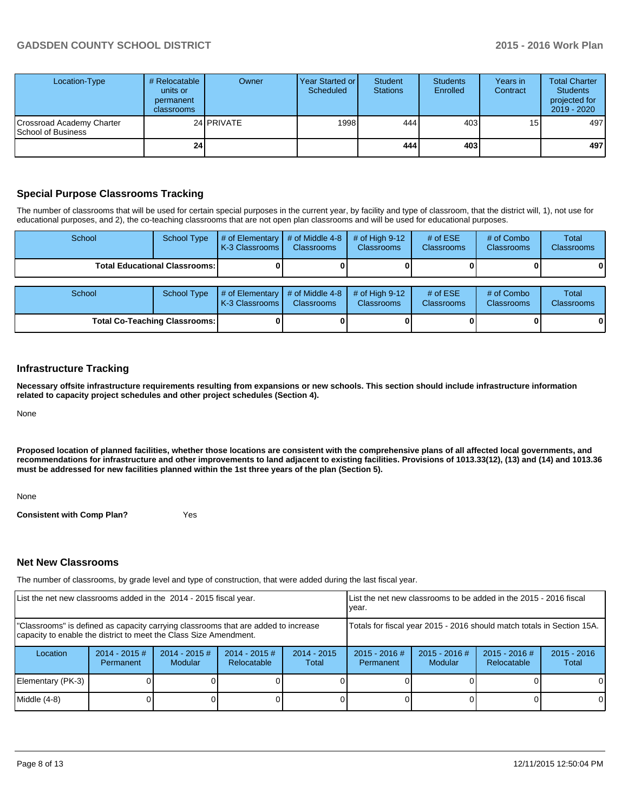# **GADSDEN COUNTY SCHOOL DISTRICT 2015 - 2016 Work Plan**

| Location-Type                                          | # Relocatable<br>units or<br>permanent<br>classrooms | Owner             | Year Started or I<br>Scheduled | Student<br><b>Stations</b> | <b>Students</b><br>Enrolled | Years in<br>Contract | <b>Total Charter</b><br><b>Students</b><br>projected for<br>$2019 - 2020$ |
|--------------------------------------------------------|------------------------------------------------------|-------------------|--------------------------------|----------------------------|-----------------------------|----------------------|---------------------------------------------------------------------------|
| Crossroad Academy Charter<br><b>School of Business</b> |                                                      | 24 <b>PRIVATE</b> | 1998                           | 444 l                      | 403                         | 15 <sub>1</sub>      | 497                                                                       |
|                                                        | 24 l                                                 |                   |                                | 4441                       | 403                         |                      | 497                                                                       |

# **Special Purpose Classrooms Tracking**

The number of classrooms that will be used for certain special purposes in the current year, by facility and type of classroom, that the district will, 1), not use for educational purposes, and 2), the co-teaching classrooms that are not open plan classrooms and will be used for educational purposes.

| School                               | <b>School Type</b> | $#$ of Elementary<br>K-3 Classrooms       | # of Middle 4-8<br><b>Classrooms</b> | # of High $9-12$<br><b>Classrooms</b> | # of $ESE$<br><b>Classrooms</b> | # of Combo<br><b>Classrooms</b> | <b>Total</b><br><b>Classrooms</b> |
|--------------------------------------|--------------------|-------------------------------------------|--------------------------------------|---------------------------------------|---------------------------------|---------------------------------|-----------------------------------|
| <b>Total Educational Classrooms:</b> |                    |                                           |                                      |                                       |                                 |                                 |                                   |
| School                               | <b>School Type</b> | # of Elementary $\vert$<br>K-3 Classrooms | # of Middle 4-8<br><b>Classrooms</b> | # of High $9-12$<br><b>Classrooms</b> | # of $ESE$<br>Classrooms        | # of Combo<br><b>Classrooms</b> | Total<br>Classrooms               |
| <b>Total Co-Teaching Classrooms:</b> |                    |                                           |                                      |                                       |                                 |                                 |                                   |

#### **Infrastructure Tracking**

**Necessary offsite infrastructure requirements resulting from expansions or new schools. This section should include infrastructure information related to capacity project schedules and other project schedules (Section 4).**

None

**Proposed location of planned facilities, whether those locations are consistent with the comprehensive plans of all affected local governments, and recommendations for infrastructure and other improvements to land adjacent to existing facilities. Provisions of 1013.33(12), (13) and (14) and 1013.36 must be addressed for new facilities planned within the 1st three years of the plan (Section 5).**

None

**Consistent with Comp Plan?** Yes

### **Net New Classrooms**

The number of classrooms, by grade level and type of construction, that were added during the last fiscal year.

| List the net new classrooms added in the 2014 - 2015 fiscal year.                                                                                       |                                                                        |                                   | Llist the net new classrooms to be added in the 2015 - 2016 fiscal<br>Ivear. |                        |                              |                            |                                |                        |
|---------------------------------------------------------------------------------------------------------------------------------------------------------|------------------------------------------------------------------------|-----------------------------------|------------------------------------------------------------------------------|------------------------|------------------------------|----------------------------|--------------------------------|------------------------|
| "Classrooms" is defined as capacity carrying classrooms that are added to increase<br>capacity to enable the district to meet the Class Size Amendment. | Totals for fiscal year 2015 - 2016 should match totals in Section 15A. |                                   |                                                                              |                        |                              |                            |                                |                        |
| Location                                                                                                                                                | $2014 - 2015$ #<br>Permanent                                           | $2014 - 2015$ #<br><b>Modular</b> | $2014 - 2015$ #<br>Relocatable                                               | $2014 - 2015$<br>Total | $2015 - 2016$ #<br>Permanent | $2015 - 2016$ #<br>Modular | $2015 - 2016$ #<br>Relocatable | $2015 - 2016$<br>Total |
| Elementary (PK-3)                                                                                                                                       |                                                                        |                                   |                                                                              |                        |                              |                            |                                |                        |
| Middle (4-8)                                                                                                                                            |                                                                        |                                   |                                                                              |                        |                              |                            |                                |                        |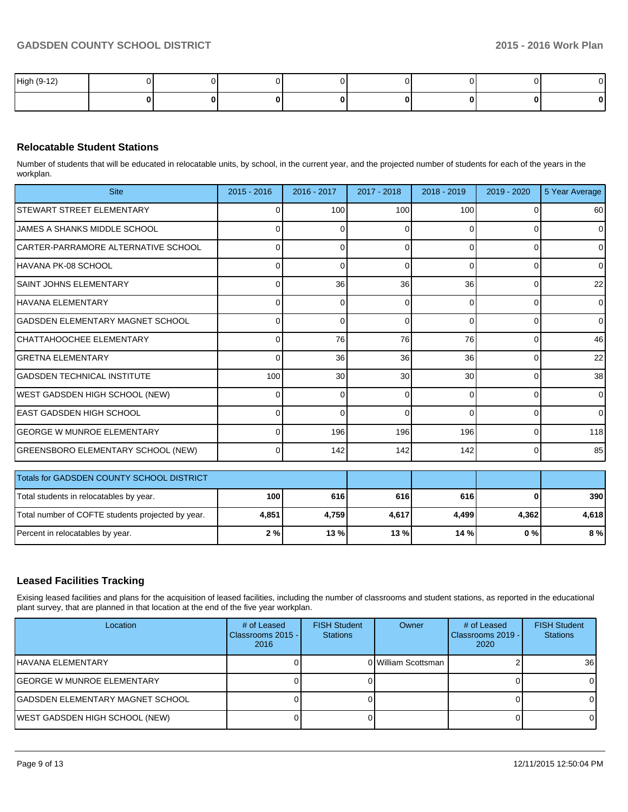| High (9-12) |  |  |  | $\sim$       |
|-------------|--|--|--|--------------|
|             |  |  |  | $\mathbf{0}$ |

# **Relocatable Student Stations**

Number of students that will be educated in relocatable units, by school, in the current year, and the projected number of students for each of the years in the workplan.

| <b>Site</b>                                       | $2015 - 2016$ | 2016 - 2017     | 2017 - 2018 | 2018 - 2019 | 2019 - 2020 | 5 Year Average  |
|---------------------------------------------------|---------------|-----------------|-------------|-------------|-------------|-----------------|
| STEWART STREET ELEMENTARY                         | 0             | 100             | 100         | 100         |             | 60              |
| <b>JAMES A SHANKS MIDDLE SCHOOL</b>               |               | U               | ∩           | C           |             | $\overline{0}$  |
| CARTER-PARRAMORE ALTERNATIVE SCHOOL               |               | ŋ               | $\Omega$    | $\Omega$    |             | $\Omega$        |
| IHAVANA PK-08 SCHOOL                              | U             | O               | $\Omega$    | $\Omega$    | $\Omega$    | $\Omega$        |
| ISAINT JOHNS ELEMENTARY                           | U             | 36              | 36          | 36          | $\Omega$    | 22              |
| HAVANA ELEMENTARY                                 |               | 0               | $\Omega$    | $\Omega$    | 0           | $\Omega$        |
| IGADSDEN ELEMENTARY MAGNET SCHOOL                 |               | 0               | $\Omega$    | $\Omega$    | $\Omega$    | $\overline{0}$  |
| ICHATTAHOOCHEE ELEMENTARY                         | <sup>0</sup>  | 76              | 76          | 76          | $\Omega$    | 46              |
| İGRETNA ELEMENTARY                                | 0             | 36              | 36          | 36          | $\Omega$    | 22              |
| IGADSDEN TECHNICAL INSTITUTE                      | 100           | 30 <sup>1</sup> | 30          | 30          | $\Omega$    | 38 <sup>1</sup> |
| WEST GADSDEN HIGH SCHOOL (NEW)                    | 0             | 0               | 0           | $\Omega$    | 0           | $\Omega$        |
| LEAST GADSDEN HIGH SCHOOL                         | 0             | $\Omega$        | $\Omega$    | $\Omega$    | 0           | $\overline{0}$  |
| IGEORGE W MUNROE ELEMENTARY                       | $\Omega$      | 196             | 196         | 196         | 0           | 118             |
| <b>GREENSBORO ELEMENTARY SCHOOL (NEW)</b>         | $\Omega$      | 142             | 142         | 142         | $\Omega$    | 85              |
| Totals for GADSDEN COUNTY SCHOOL DISTRICT         |               |                 |             |             |             |                 |
| Total students in relocatables by year.           | 100           | 616             | 616         | 616         | 0           | 390             |
| Total number of COFTE students projected by year. | 4,851         | 4,759           | 4,617       | 4,499       | 4,362       | 4,618           |
| Percent in relocatables by year.                  | 2%            | 13 %            | 13 %        | 14 %        | 0%          | 8 %             |

### **Leased Facilities Tracking**

Exising leased facilities and plans for the acquisition of leased facilities, including the number of classrooms and student stations, as reported in the educational plant survey, that are planned in that location at the end of the five year workplan.

| Location                          | # of Leased<br>Classrooms 2015 -<br>2016 | <b>FISH Student</b><br><b>Stations</b> | Owner               | # of Leased<br>Classrooms 2019 -<br>2020 | <b>FISH Student</b><br><b>Stations</b> |
|-----------------------------------|------------------------------------------|----------------------------------------|---------------------|------------------------------------------|----------------------------------------|
| IHAVANA ELEMENTARY                |                                          |                                        | 0 William Scottsman |                                          | <b>36</b>                              |
| <b>GEORGE W MUNROE ELEMENTARY</b> |                                          |                                        |                     |                                          |                                        |
| GADSDEN ELEMENTARY MAGNET SCHOOL  |                                          |                                        |                     |                                          |                                        |
| WEST GADSDEN HIGH SCHOOL (NEW)    |                                          |                                        |                     |                                          |                                        |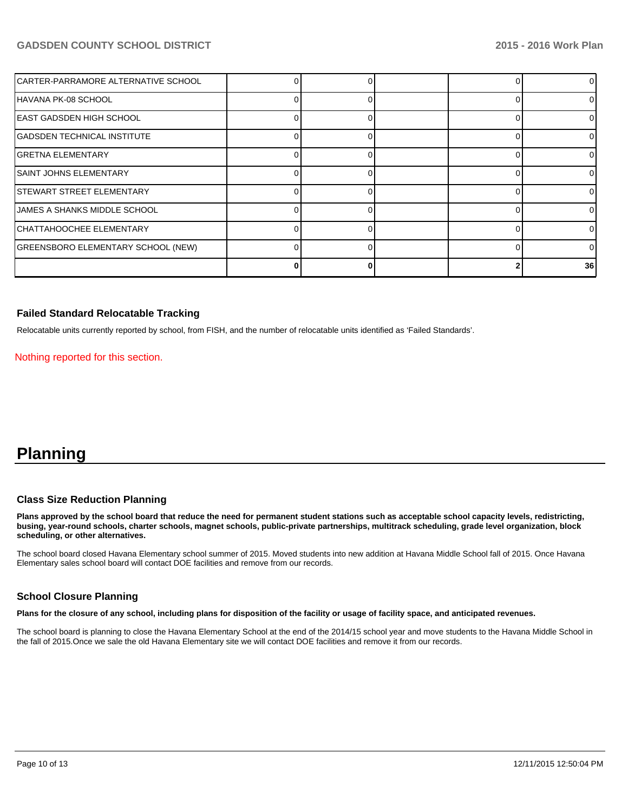# **GADSDEN COUNTY SCHOOL DISTRICT 2015 - 2016 Work Plan**

| CARTER-PARRAMORE ALTERNATIVE SCHOOL |  |  |          |
|-------------------------------------|--|--|----------|
| HAVANA PK-08 SCHOOL                 |  |  | 0        |
| EAST GADSDEN HIGH SCHOOL            |  |  | 0        |
| <b>GADSDEN TECHNICAL INSTITUTE</b>  |  |  | 0        |
| <b>GRETNA ELEMENTARY</b>            |  |  | 0        |
| <b>SAINT JOHNS ELEMENTARY</b>       |  |  | $\Omega$ |
| <b>STEWART STREET ELEMENTARY</b>    |  |  | 0        |
| JAMES A SHANKS MIDDLE SCHOOL        |  |  | ΩI       |
| CHATTAHOOCHEE ELEMENTARY            |  |  | 0        |
| GREENSBORO ELEMENTARY SCHOOL (NEW)  |  |  | 0        |
|                                     |  |  | 36       |

### **Failed Standard Relocatable Tracking**

Relocatable units currently reported by school, from FISH, and the number of relocatable units identified as 'Failed Standards'.

Nothing reported for this section.

# **Planning**

### **Class Size Reduction Planning**

**Plans approved by the school board that reduce the need for permanent student stations such as acceptable school capacity levels, redistricting, busing, year-round schools, charter schools, magnet schools, public-private partnerships, multitrack scheduling, grade level organization, block scheduling, or other alternatives.**

The school board closed Havana Elementary school summer of 2015. Moved students into new addition at Havana Middle School fall of 2015. Once Havana Elementary sales school board will contact DOE facilities and remove from our records.

#### **School Closure Planning**

**Plans for the closure of any school, including plans for disposition of the facility or usage of facility space, and anticipated revenues.**

The school board is planning to close the Havana Elementary School at the end of the 2014/15 school year and move students to the Havana Middle School in the fall of 2015.Once we sale the old Havana Elementary site we will contact DOE facilities and remove it from our records.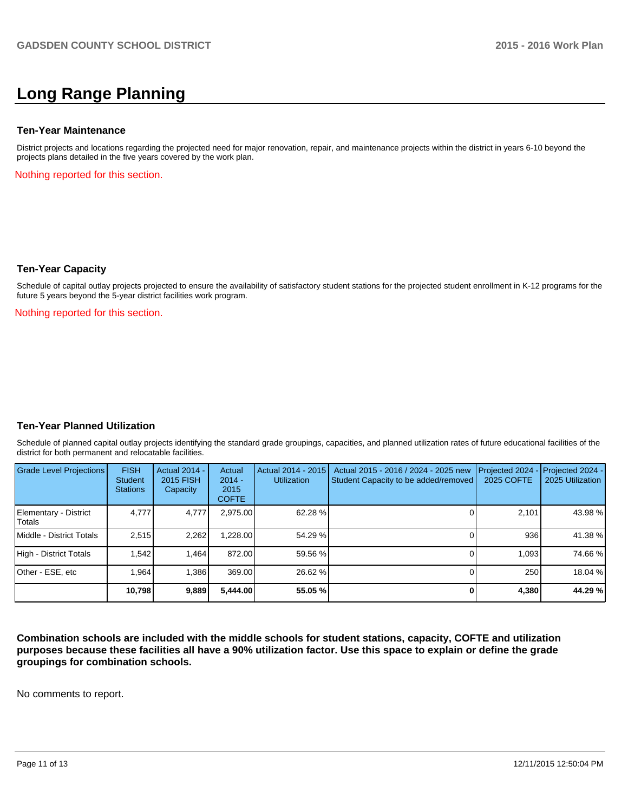# **Long Range Planning**

#### **Ten-Year Maintenance**

District projects and locations regarding the projected need for major renovation, repair, and maintenance projects within the district in years 6-10 beyond the projects plans detailed in the five years covered by the work plan.

Nothing reported for this section.

### **Ten-Year Capacity**

Schedule of capital outlay projects projected to ensure the availability of satisfactory student stations for the projected student enrollment in K-12 programs for the future 5 years beyond the 5-year district facilities work program.

Nothing reported for this section.

### **Ten-Year Planned Utilization**

Schedule of planned capital outlay projects identifying the standard grade groupings, capacities, and planned utilization rates of future educational facilities of the district for both permanent and relocatable facilities.

| Grade Level Projections         | <b>FISH</b><br><b>Student</b><br><b>Stations</b> | <b>Actual 2014 -</b><br><b>2015 FISH</b><br>Capacity | Actual<br>$2014 -$<br>2015<br><b>COFTE</b> | Actual 2014 - 2015<br><b>Utilization</b> | Actual 2015 - 2016 / 2024 - 2025 new<br>Student Capacity to be added/removed | Projected 2024<br><b>2025 COFTE</b> | $-$ Projected 2024 -<br>2025 Utilization |
|---------------------------------|--------------------------------------------------|------------------------------------------------------|--------------------------------------------|------------------------------------------|------------------------------------------------------------------------------|-------------------------------------|------------------------------------------|
| Elementary - District<br>Totals | 4.777                                            | 4,777                                                | 2,975.00                                   | 62.28 %                                  |                                                                              | 2,101                               | 43.98 %                                  |
| Middle - District Totals        | 2.515                                            | 2.262                                                | .228.00                                    | 54.29 %                                  |                                                                              | 936                                 | 41.38 %                                  |
| High - District Totals          | 1.542                                            | 1.464                                                | 872.00                                     | 59.56 %                                  |                                                                              | 1.093                               | 74.66%                                   |
| Other - ESE, etc                | 1.964                                            | 1.386                                                | 369.00                                     | 26.62 %                                  |                                                                              | 250                                 | 18.04 %                                  |
|                                 | 10.798                                           | 9,889                                                | 5.444.00                                   | 55.05 %                                  |                                                                              | 4.380                               | 44.29 %                                  |

**Combination schools are included with the middle schools for student stations, capacity, COFTE and utilization purposes because these facilities all have a 90% utilization factor. Use this space to explain or define the grade groupings for combination schools.**

No comments to report.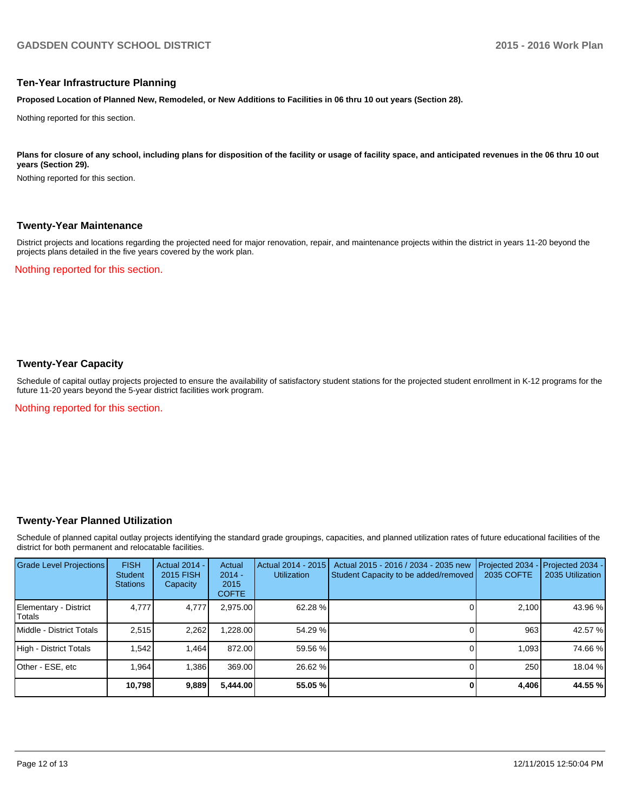#### **Ten-Year Infrastructure Planning**

**Proposed Location of Planned New, Remodeled, or New Additions to Facilities in 06 thru 10 out years (Section 28).**

Nothing reported for this section.

Plans for closure of any school, including plans for disposition of the facility or usage of facility space, and anticipated revenues in the 06 thru 10 out **years (Section 29).**

Nothing reported for this section.

#### **Twenty-Year Maintenance**

District projects and locations regarding the projected need for major renovation, repair, and maintenance projects within the district in years 11-20 beyond the projects plans detailed in the five years covered by the work plan.

Nothing reported for this section.

# **Twenty-Year Capacity**

Schedule of capital outlay projects projected to ensure the availability of satisfactory student stations for the projected student enrollment in K-12 programs for the future 11-20 years beyond the 5-year district facilities work program.

Nothing reported for this section.

### **Twenty-Year Planned Utilization**

Schedule of planned capital outlay projects identifying the standard grade groupings, capacities, and planned utilization rates of future educational facilities of the district for both permanent and relocatable facilities.

| <b>Grade Level Projections</b>   | <b>FISH</b><br><b>Student</b><br><b>Stations</b> | <b>Actual 2014 -</b><br>2015 FISH<br>Capacity | Actual<br>$2014 -$<br>2015<br><b>COFTE</b> | Actual 2014 - 2015<br><b>Utilization</b> | Actual 2015 - 2016 / 2034 - 2035 new<br>Student Capacity to be added/removed | Projected 2034<br>2035 COFTE | Projected 2034 -<br>2035 Utilization |
|----------------------------------|--------------------------------------------------|-----------------------------------------------|--------------------------------------------|------------------------------------------|------------------------------------------------------------------------------|------------------------------|--------------------------------------|
| Elementary - District<br> Totals | 4.777                                            | 4,777                                         | 2,975.00                                   | 62.28 %                                  |                                                                              | 2.100                        | 43.96 %                              |
| <b>IMiddle - District Totals</b> | 2.515                                            | 2,262                                         | 1.228.00                                   | 54.29 %                                  |                                                                              | 963                          | 42.57 %                              |
| High - District Totals           | 1.542                                            | 1.464                                         | 872.00                                     | 59.56 %                                  |                                                                              | 1.093                        | 74.66 %                              |
| Other - ESE, etc                 | .964                                             | 1,386                                         | 369.00                                     | 26.62 %                                  |                                                                              | 250                          | 18.04 %                              |
|                                  | 10,798                                           | 9,889                                         | 5,444.00                                   | 55.05 %                                  |                                                                              | 4,406                        | 44.55 %                              |